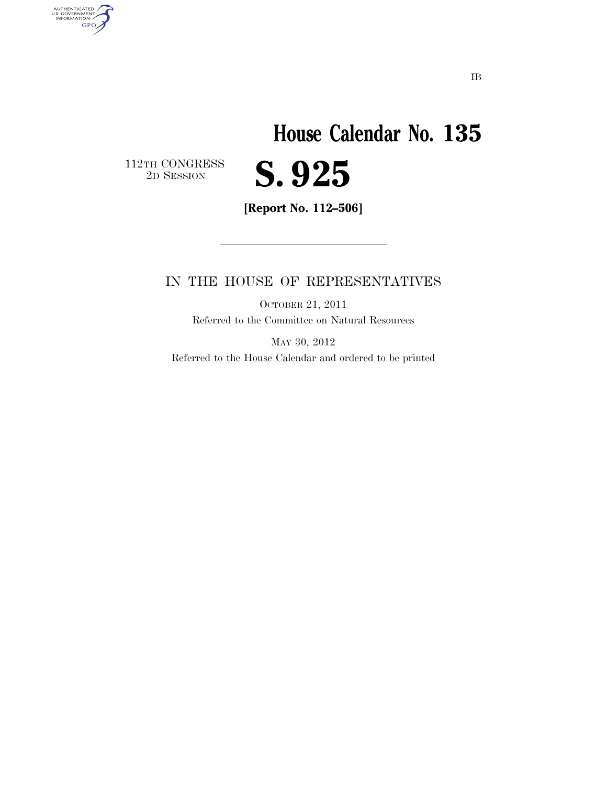## **House Calendar No. 135**  2D SESSION **S. 925**

 $\begin{array}{c} \textbf{112TH CONGRESS} \\ \textbf{2D} \textbf{SESSION} \end{array}$ 

AUTHENTICATED<br>U.S. GOVERNMENT<br>INFORMATION

**GPO** 

**[Report No. 112–506]** 

### IN THE HOUSE OF REPRESENTATIVES

OCTOBER 21, 2011 Referred to the Committee on Natural Resources

MAY 30, 2012 Referred to the House Calendar and ordered to be printed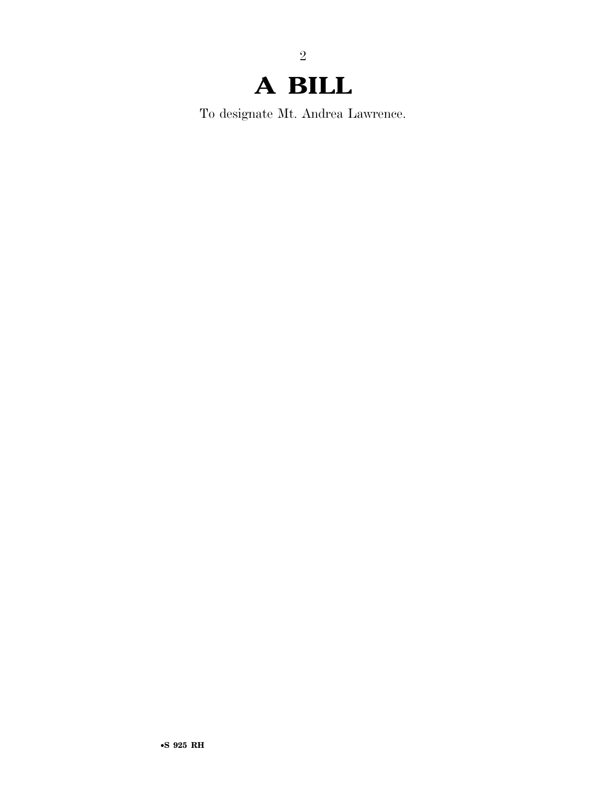2

To designate Mt. Andrea Lawrence.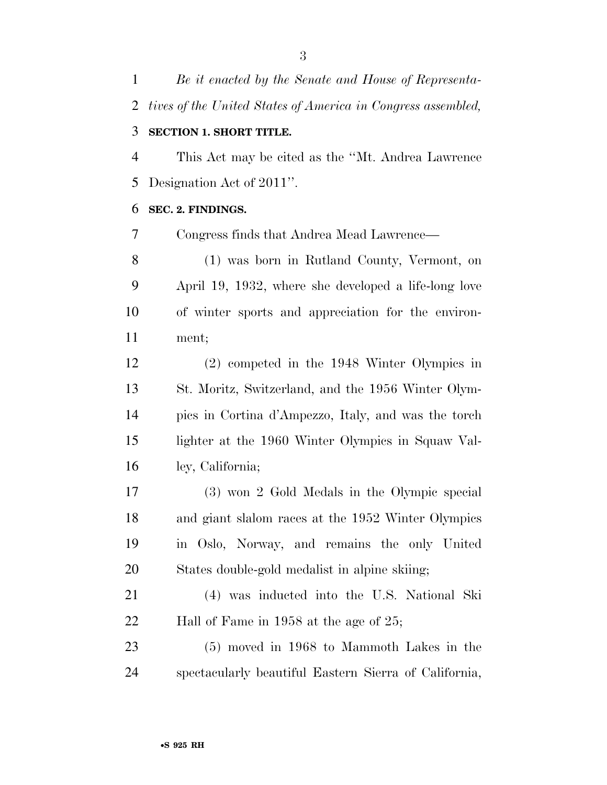*Be it enacted by the Senate and House of Representa- tives of the United States of America in Congress assembled,*  **SECTION 1. SHORT TITLE.** 

 This Act may be cited as the ''Mt. Andrea Lawrence Designation Act of 2011''.

#### **SEC. 2. FINDINGS.**

Congress finds that Andrea Mead Lawrence—

 (1) was born in Rutland County, Vermont, on April 19, 1932, where she developed a life-long love of winter sports and appreciation for the environ-ment;

 (2) competed in the 1948 Winter Olympics in St. Moritz, Switzerland, and the 1956 Winter Olym- pics in Cortina d'Ampezzo, Italy, and was the torch lighter at the 1960 Winter Olympics in Squaw Val-ley, California;

 (3) won 2 Gold Medals in the Olympic special and giant slalom races at the 1952 Winter Olympics in Oslo, Norway, and remains the only United States double-gold medalist in alpine skiing;

 (4) was inducted into the U.S. National Ski Hall of Fame in 1958 at the age of 25;

 (5) moved in 1968 to Mammoth Lakes in the spectacularly beautiful Eastern Sierra of California,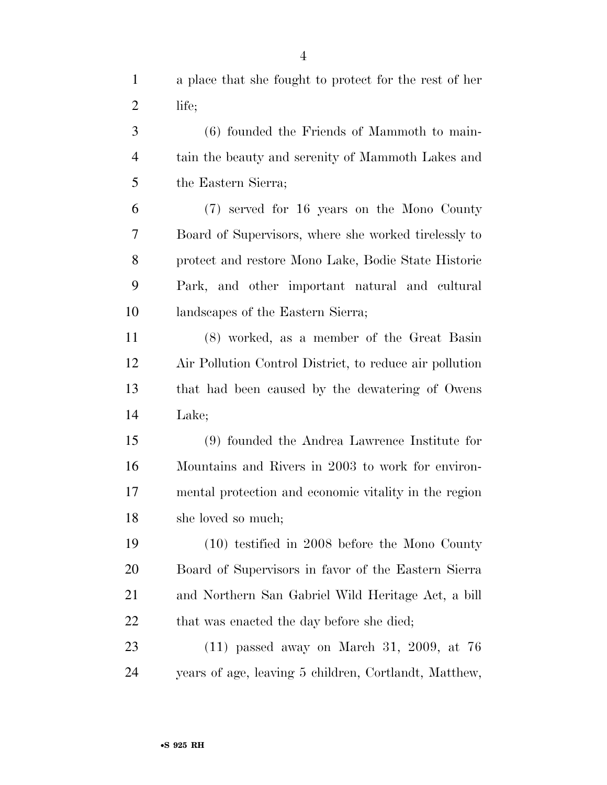a place that she fought to protect for the rest of her life;

 (6) founded the Friends of Mammoth to main- tain the beauty and serenity of Mammoth Lakes and the Eastern Sierra;

 (7) served for 16 years on the Mono County Board of Supervisors, where she worked tirelessly to protect and restore Mono Lake, Bodie State Historic Park, and other important natural and cultural landscapes of the Eastern Sierra;

 (8) worked, as a member of the Great Basin Air Pollution Control District, to reduce air pollution that had been caused by the dewatering of Owens Lake;

 (9) founded the Andrea Lawrence Institute for Mountains and Rivers in 2003 to work for environ- mental protection and economic vitality in the region she loved so much;

 (10) testified in 2008 before the Mono County Board of Supervisors in favor of the Eastern Sierra and Northern San Gabriel Wild Heritage Act, a bill 22 that was enacted the day before she died;

 (11) passed away on March 31, 2009, at 76 years of age, leaving 5 children, Cortlandt, Matthew,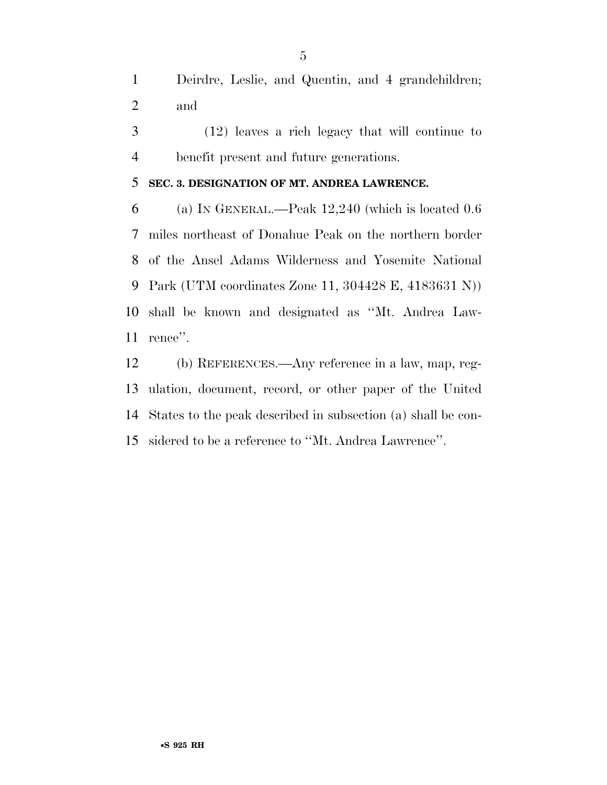Deirdre, Leslie, and Quentin, and 4 grandchildren; and

 (12) leaves a rich legacy that will continue to benefit present and future generations.

#### **SEC. 3. DESIGNATION OF MT. ANDREA LAWRENCE.**

 (a) IN GENERAL.—Peak 12,240 (which is located 0.6 miles northeast of Donahue Peak on the northern border of the Ansel Adams Wilderness and Yosemite National Park (UTM coordinates Zone 11, 304428 E, 4183631 N)) shall be known and designated as ''Mt. Andrea Law-rence''.

 (b) REFERENCES.—Any reference in a law, map, reg- ulation, document, record, or other paper of the United States to the peak described in subsection (a) shall be con-sidered to be a reference to ''Mt. Andrea Lawrence''.